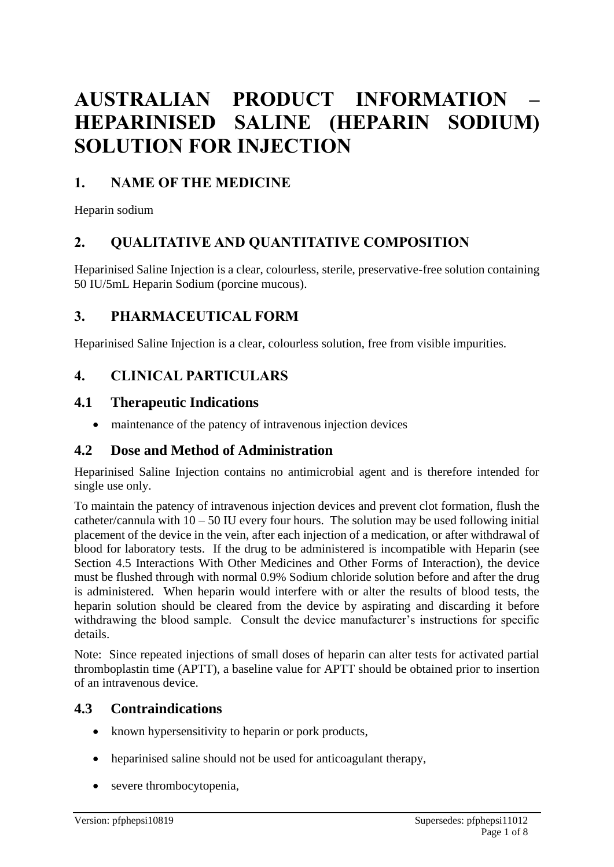# **AUSTRALIAN PRODUCT INFORMATION – HEPARINISED SALINE (HEPARIN SODIUM) SOLUTION FOR INJECTION**

# **1. NAME OF THE MEDICINE**

Heparin sodium

# **2. QUALITATIVE AND QUANTITATIVE COMPOSITION**

Heparinised Saline Injection is a clear, colourless, sterile, preservative-free solution containing 50 IU/5mL Heparin Sodium (porcine mucous).

# **3. PHARMACEUTICAL FORM**

Heparinised Saline Injection is a clear, colourless solution, free from visible impurities.

# **4. CLINICAL PARTICULARS**

### **4.1 Therapeutic Indications**

• maintenance of the patency of intravenous injection devices

# **4.2 Dose and Method of Administration**

Heparinised Saline Injection contains no antimicrobial agent and is therefore intended for single use only.

To maintain the patency of intravenous injection devices and prevent clot formation, flush the catheter/cannula with  $10 - 50$  IU every four hours. The solution may be used following initial placement of the device in the vein, after each injection of a medication, or after withdrawal of blood for laboratory tests. If the drug to be administered is incompatible with Heparin (see Section 4.5 Interactions With Other Medicines and Other Forms of Interaction), the device must be flushed through with normal 0.9% Sodium chloride solution before and after the drug is administered. When heparin would interfere with or alter the results of blood tests, the heparin solution should be cleared from the device by aspirating and discarding it before withdrawing the blood sample. Consult the device manufacturer's instructions for specific details.

Note: Since repeated injections of small doses of heparin can alter tests for activated partial thromboplastin time (APTT), a baseline value for APTT should be obtained prior to insertion of an intravenous device.

# **4.3 Contraindications**

- known hypersensitivity to heparin or pork products,
- heparinised saline should not be used for anticoagulant therapy,
- severe thrombocytopenia,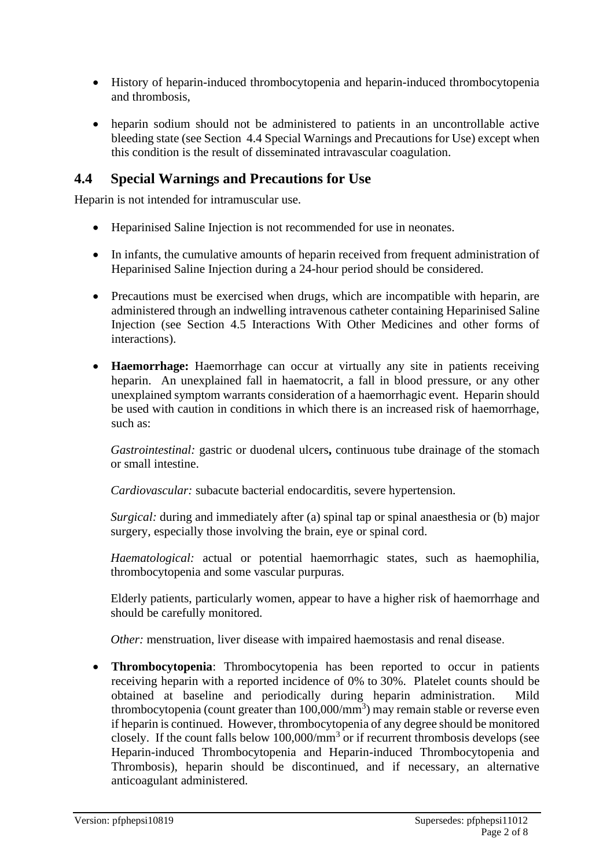- History of heparin-induced thrombocytopenia and heparin-induced thrombocytopenia and thrombosis,
- heparin sodium should not be administered to patients in an uncontrollable active bleeding state (see Section 4.4 Special Warnings and Precautions for Use) except when this condition is the result of disseminated intravascular coagulation.

# **4.4 Special Warnings and Precautions for Use**

Heparin is not intended for intramuscular use.

- Heparinised Saline Injection is not recommended for use in neonates.
- In infants, the cumulative amounts of heparin received from frequent administration of Heparinised Saline Injection during a 24-hour period should be considered.
- Precautions must be exercised when drugs, which are incompatible with heparin, are administered through an indwelling intravenous catheter containing Heparinised Saline Injection (see Section 4.5 Interactions With Other Medicines and other forms of interactions).
- **Haemorrhage:** Haemorrhage can occur at virtually any site in patients receiving heparin. An unexplained fall in haematocrit, a fall in blood pressure, or any other unexplained symptom warrants consideration of a haemorrhagic event. Heparin should be used with caution in conditions in which there is an increased risk of haemorrhage, such as:

*Gastrointestinal:* gastric or duodenal ulcers**,** continuous tube drainage of the stomach or small intestine.

*Cardiovascular:* subacute bacterial endocarditis, severe hypertension*.*

*Surgical:* during and immediately after (a) spinal tap or spinal anaesthesia or (b) major surgery, especially those involving the brain, eye or spinal cord.

*Haematological:* actual or potential haemorrhagic states, such as haemophilia, thrombocytopenia and some vascular purpuras*.*

Elderly patients, particularly women, appear to have a higher risk of haemorrhage and should be carefully monitored.

*Other:* menstruation, liver disease with impaired haemostasis and renal disease.

• **Thrombocytopenia**: Thrombocytopenia has been reported to occur in patients receiving heparin with a reported incidence of 0% to 30%. Platelet counts should be obtained at baseline and periodically during heparin administration. Mild thrombocytopenia (count greater than  $100,000/\text{mm}^3$ ) may remain stable or reverse even if heparin is continued. However, thrombocytopenia of any degree should be monitored closely. If the count falls below  $100,000/\text{mm}^3$  or if recurrent thrombosis develops (see Heparin-induced Thrombocytopenia and Heparin-induced Thrombocytopenia and Thrombosis), heparin should be discontinued, and if necessary, an alternative anticoagulant administered.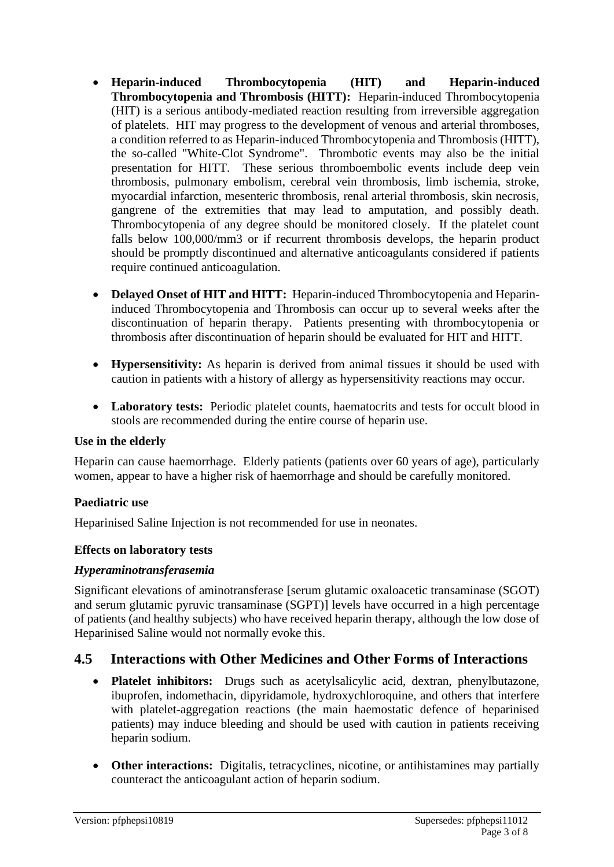- **Heparin-induced Thrombocytopenia (HIT) and Heparin-induced Thrombocytopenia and Thrombosis (HITT):** Heparin-induced Thrombocytopenia (HIT) is a serious antibody-mediated reaction resulting from irreversible aggregation of platelets. HIT may progress to the development of venous and arterial thromboses, a condition referred to as Heparin-induced Thrombocytopenia and Thrombosis (HITT), the so-called "White-Clot Syndrome". Thrombotic events may also be the initial presentation for HITT. These serious thromboembolic events include deep vein thrombosis, pulmonary embolism, cerebral vein thrombosis, limb ischemia, stroke, myocardial infarction, mesenteric thrombosis, renal arterial thrombosis, skin necrosis, gangrene of the extremities that may lead to amputation, and possibly death. Thrombocytopenia of any degree should be monitored closely. If the platelet count falls below 100,000/mm3 or if recurrent thrombosis develops, the heparin product should be promptly discontinued and alternative anticoagulants considered if patients require continued anticoagulation.
- **Delayed Onset of HIT and HITT:** Heparin-induced Thrombocytopenia and Heparininduced Thrombocytopenia and Thrombosis can occur up to several weeks after the discontinuation of heparin therapy. Patients presenting with thrombocytopenia or thrombosis after discontinuation of heparin should be evaluated for HIT and HITT.
- **Hypersensitivity:** As heparin is derived from animal tissues it should be used with caution in patients with a history of allergy as hypersensitivity reactions may occur.
- Laboratory tests: Periodic platelet counts, haematocrits and tests for occult blood in stools are recommended during the entire course of heparin use.

#### **Use in the elderly**

Heparin can cause haemorrhage. Elderly patients (patients over 60 years of age), particularly women, appear to have a higher risk of haemorrhage and should be carefully monitored.

#### **Paediatric use**

Heparinised Saline Injection is not recommended for use in neonates.

#### **Effects on laboratory tests**

#### *Hyperaminotransferasemia*

Significant elevations of aminotransferase [serum glutamic oxaloacetic transaminase (SGOT) and serum glutamic pyruvic transaminase (SGPT)] levels have occurred in a high percentage of patients (and healthy subjects) who have received heparin therapy, although the low dose of Heparinised Saline would not normally evoke this.

# **4.5 Interactions with Other Medicines and Other Forms of Interactions**

- **Platelet inhibitors:** Drugs such as acetylsalicylic acid, dextran, phenylbutazone, ibuprofen, indomethacin, dipyridamole, hydroxychloroquine, and others that interfere with platelet-aggregation reactions (the main haemostatic defence of heparinised patients) may induce bleeding and should be used with caution in patients receiving heparin sodium.
- **Other interactions:** Digitalis, tetracyclines, nicotine, or antihistamines may partially counteract the anticoagulant action of heparin sodium.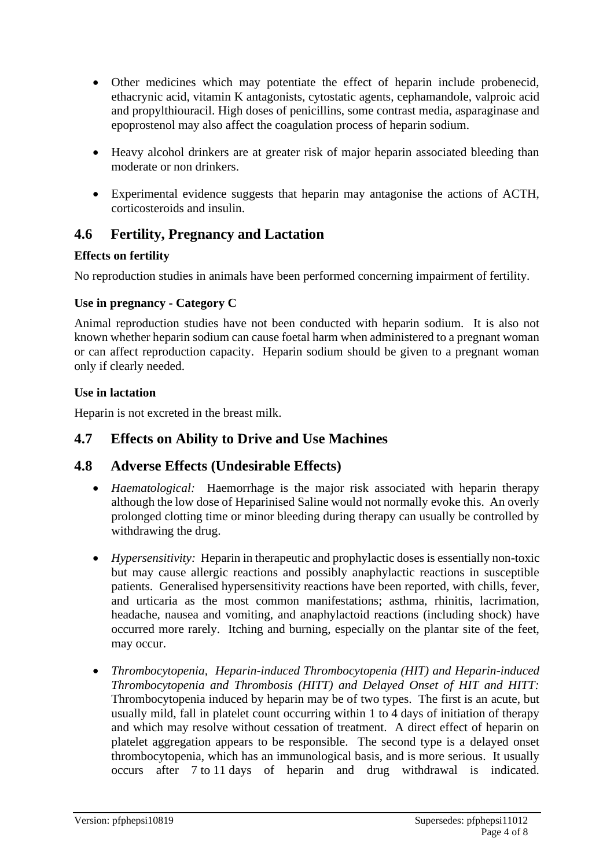- Other medicines which may potentiate the effect of heparin include probenecid, ethacrynic acid, vitamin K antagonists, cytostatic agents, cephamandole, valproic acid and propylthiouracil. High doses of penicillins, some contrast media, asparaginase and epoprostenol may also affect the coagulation process of heparin sodium.
- Heavy alcohol drinkers are at greater risk of major heparin associated bleeding than moderate or non drinkers.
- Experimental evidence suggests that heparin may antagonise the actions of ACTH, corticosteroids and insulin.

# **4.6 Fertility, Pregnancy and Lactation**

### **Effects on fertility**

No reproduction studies in animals have been performed concerning impairment of fertility.

#### **Use in pregnancy - Category C**

Animal reproduction studies have not been conducted with heparin sodium. It is also not known whether heparin sodium can cause foetal harm when administered to a pregnant woman or can affect reproduction capacity. Heparin sodium should be given to a pregnant woman only if clearly needed.

#### **Use in lactation**

Heparin is not excreted in the breast milk.

# **4.7 Effects on Ability to Drive and Use Machines**

# **4.8 Adverse Effects (Undesirable Effects)**

- *Haematological:* Haemorrhage is the major risk associated with heparin therapy although the low dose of Heparinised Saline would not normally evoke this. An overly prolonged clotting time or minor bleeding during therapy can usually be controlled by withdrawing the drug.
- *Hypersensitivity:* Heparin in therapeutic and prophylactic doses is essentially non-toxic but may cause allergic reactions and possibly anaphylactic reactions in susceptible patients. Generalised hypersensitivity reactions have been reported, with chills, fever, and urticaria as the most common manifestations; asthma, rhinitis, lacrimation, headache, nausea and vomiting, and anaphylactoid reactions (including shock) have occurred more rarely. Itching and burning, especially on the plantar site of the feet, may occur.
- *Thrombocytopenia, Heparin-induced Thrombocytopenia (HIT) and Heparin-induced Thrombocytopenia and Thrombosis (HITT) and Delayed Onset of HIT and HITT:* Thrombocytopenia induced by heparin may be of two types. The first is an acute, but usually mild, fall in platelet count occurring within 1 to 4 days of initiation of therapy and which may resolve without cessation of treatment. A direct effect of heparin on platelet aggregation appears to be responsible. The second type is a delayed onset thrombocytopenia, which has an immunological basis, and is more serious. It usually occurs after 7 to 11 days of heparin and drug withdrawal is indicated.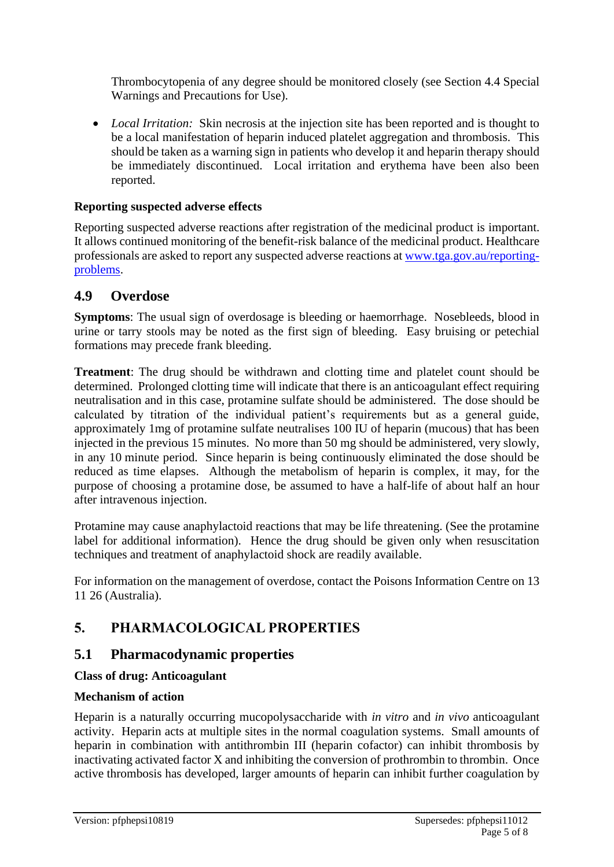Thrombocytopenia of any degree should be monitored closely (see Section 4.4 Special Warnings and Precautions for Use).

• *Local Irritation:* Skin necrosis at the injection site has been reported and is thought to be a local manifestation of heparin induced platelet aggregation and thrombosis. This should be taken as a warning sign in patients who develop it and heparin therapy should be immediately discontinued. Local irritation and erythema have been also been reported.

#### **Reporting suspected adverse effects**

Reporting suspected adverse reactions after registration of the medicinal product is important. It allows continued monitoring of the benefit-risk balance of the medicinal product. Healthcare professionals are asked to report any suspected adverse reactions at [www.tga.gov.au/reporting](http://www.tga.gov.au/reporting-problems)[problems.](http://www.tga.gov.au/reporting-problems)

# **4.9 Overdose**

**Symptoms**: The usual sign of overdosage is bleeding or haemorrhage. Nosebleeds, blood in urine or tarry stools may be noted as the first sign of bleeding. Easy bruising or petechial formations may precede frank bleeding.

**Treatment**: The drug should be withdrawn and clotting time and platelet count should be determined. Prolonged clotting time will indicate that there is an anticoagulant effect requiring neutralisation and in this case, protamine sulfate should be administered. The dose should be calculated by titration of the individual patient's requirements but as a general guide, approximately 1mg of protamine sulfate neutralises 100 IU of heparin (mucous) that has been injected in the previous 15 minutes. No more than 50 mg should be administered, very slowly, in any 10 minute period. Since heparin is being continuously eliminated the dose should be reduced as time elapses. Although the metabolism of heparin is complex, it may, for the purpose of choosing a protamine dose, be assumed to have a half-life of about half an hour after intravenous injection.

Protamine may cause anaphylactoid reactions that may be life threatening. (See the protamine label for additional information). Hence the drug should be given only when resuscitation techniques and treatment of anaphylactoid shock are readily available.

For information on the management of overdose, contact the Poisons Information Centre on 13 11 26 (Australia).

# **5. PHARMACOLOGICAL PROPERTIES**

# **5.1 Pharmacodynamic properties**

### **Class of drug: Anticoagulant**

#### **Mechanism of action**

Heparin is a naturally occurring mucopolysaccharide with *in vitro* and *in vivo* anticoagulant activity. Heparin acts at multiple sites in the normal coagulation systems. Small amounts of heparin in combination with antithrombin III (heparin cofactor) can inhibit thrombosis by inactivating activated factor X and inhibiting the conversion of prothrombin to thrombin. Once active thrombosis has developed, larger amounts of heparin can inhibit further coagulation by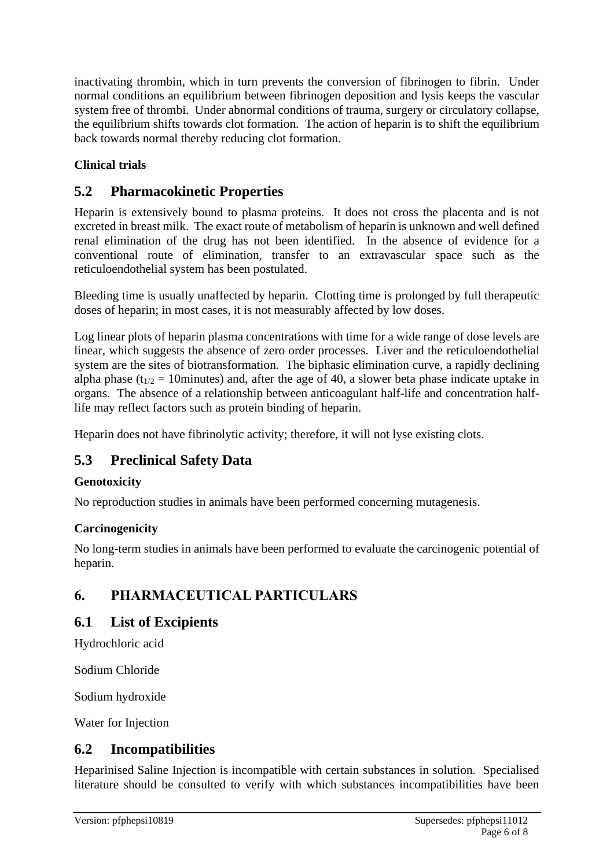inactivating thrombin, which in turn prevents the conversion of fibrinogen to fibrin. Under normal conditions an equilibrium between fibrinogen deposition and lysis keeps the vascular system free of thrombi. Under abnormal conditions of trauma, surgery or circulatory collapse, the equilibrium shifts towards clot formation. The action of heparin is to shift the equilibrium back towards normal thereby reducing clot formation.

# **Clinical trials**

# **5.2 Pharmacokinetic Properties**

Heparin is extensively bound to plasma proteins. It does not cross the placenta and is not excreted in breast milk. The exact route of metabolism of heparin is unknown and well defined renal elimination of the drug has not been identified. In the absence of evidence for a conventional route of elimination, transfer to an extravascular space such as the reticuloendothelial system has been postulated.

Bleeding time is usually unaffected by heparin. Clotting time is prolonged by full therapeutic doses of heparin; in most cases, it is not measurably affected by low doses.

Log linear plots of heparin plasma concentrations with time for a wide range of dose levels are linear, which suggests the absence of zero order processes. Liver and the reticuloendothelial system are the sites of biotransformation. The biphasic elimination curve, a rapidly declining alpha phase ( $t_{1/2}$  = 10minutes) and, after the age of 40, a slower beta phase indicate uptake in organs. The absence of a relationship between anticoagulant half-life and concentration halflife may reflect factors such as protein binding of heparin.

Heparin does not have fibrinolytic activity; therefore, it will not lyse existing clots.

# **5.3 Preclinical Safety Data**

### **Genotoxicity**

No reproduction studies in animals have been performed concerning mutagenesis.

### **Carcinogenicity**

No long-term studies in animals have been performed to evaluate the carcinogenic potential of heparin.

# **6. PHARMACEUTICAL PARTICULARS**

# **6.1 List of Excipients**

Hydrochloric acid

Sodium Chloride

Sodium hydroxide

Water for Injection

# **6.2 Incompatibilities**

Heparinised Saline Injection is incompatible with certain substances in solution. Specialised literature should be consulted to verify with which substances incompatibilities have been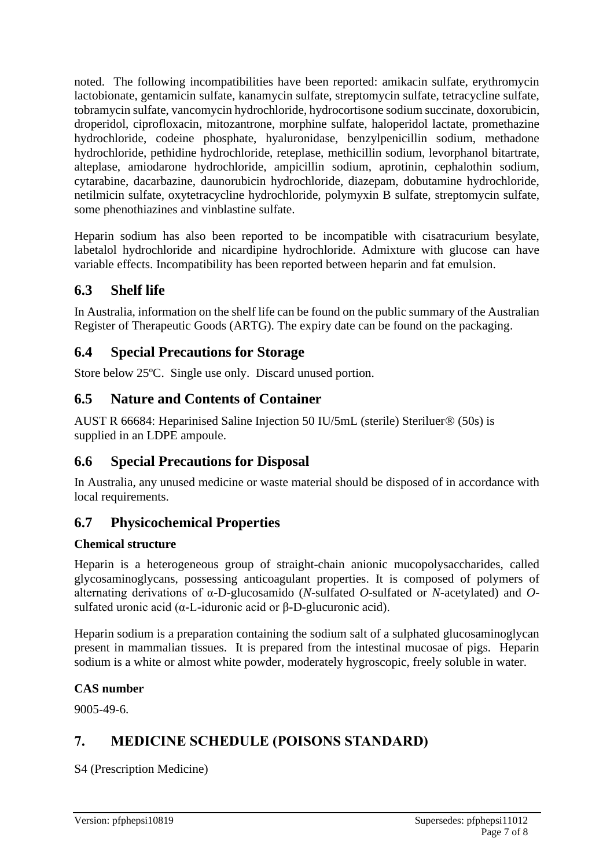noted. The following incompatibilities have been reported: amikacin sulfate, erythromycin lactobionate, gentamicin sulfate, kanamycin sulfate, streptomycin sulfate, tetracycline sulfate, tobramycin sulfate, vancomycin hydrochloride, hydrocortisone sodium succinate, doxorubicin, droperidol, ciprofloxacin, mitozantrone, morphine sulfate, haloperidol lactate, promethazine hydrochloride, codeine phosphate, hyaluronidase, benzylpenicillin sodium, methadone hydrochloride, pethidine hydrochloride, reteplase, methicillin sodium, levorphanol bitartrate, alteplase, amiodarone hydrochloride, ampicillin sodium, aprotinin, cephalothin sodium, cytarabine, dacarbazine, daunorubicin hydrochloride, diazepam, dobutamine hydrochloride, netilmicin sulfate, oxytetracycline hydrochloride, polymyxin B sulfate, streptomycin sulfate, some phenothiazines and vinblastine sulfate.

Heparin sodium has also been reported to be incompatible with cisatracurium besylate, labetalol hydrochloride and nicardipine hydrochloride. Admixture with glucose can have variable effects. Incompatibility has been reported between heparin and fat emulsion.

# **6.3 Shelf life**

In Australia, information on the shelf life can be found on the public summary of the Australian Register of Therapeutic Goods (ARTG). The expiry date can be found on the packaging.

# **6.4 Special Precautions for Storage**

Store below 25ºC. Single use only. Discard unused portion.

# **6.5 Nature and Contents of Container**

AUST R 66684: Heparinised Saline Injection 50 IU/5mL (sterile) Steriluer® (50s) is supplied in an LDPE ampoule.

# **6.6 Special Precautions for Disposal**

In Australia, any unused medicine or waste material should be disposed of in accordance with local requirements.

# **6.7 Physicochemical Properties**

### **Chemical structure**

Heparin is a heterogeneous group of straight-chain anionic mucopolysaccharides, called glycosaminoglycans, possessing anticoagulant properties. It is composed of polymers of alternating derivations of α-D-glucosamido (*N*-sulfated *O*-sulfated or *N*-acetylated) and *O*sulfated uronic acid (α-L-iduronic acid or β-D-glucuronic acid).

Heparin sodium is a preparation containing the sodium salt of a sulphated glucosaminoglycan present in mammalian tissues. It is prepared from the intestinal mucosae of pigs. Heparin sodium is a white or almost white powder, moderately hygroscopic, freely soluble in water.

### **CAS number**

9005-49-6.

# **7. MEDICINE SCHEDULE (POISONS STANDARD)**

S4 (Prescription Medicine)